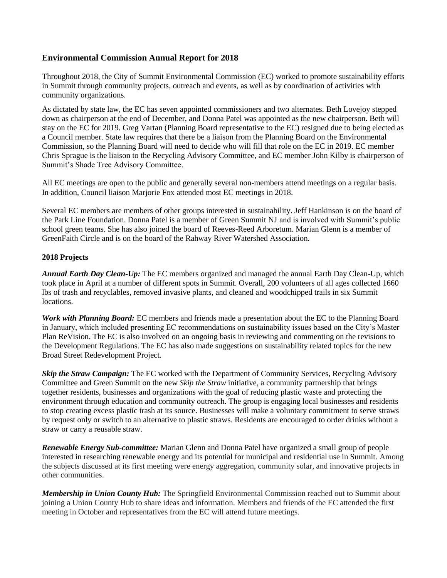## **Environmental Commission Annual Report for 2018**

Throughout 2018, the City of Summit Environmental Commission (EC) worked to promote sustainability efforts in Summit through community projects, outreach and events, as well as by coordination of activities with community organizations.

As dictated by state law, the EC has seven appointed commissioners and two alternates. Beth Lovejoy stepped down as chairperson at the end of December, and Donna Patel was appointed as the new chairperson. Beth will stay on the EC for 2019. Greg Vartan (Planning Board representative to the EC) resigned due to being elected as a Council member. State law requires that there be a liaison from the Planning Board on the Environmental Commission, so the Planning Board will need to decide who will fill that role on the EC in 2019. EC member Chris Sprague is the liaison to the Recycling Advisory Committee, and EC member John Kilby is chairperson of Summit's Shade Tree Advisory Committee.

All EC meetings are open to the public and generally several non-members attend meetings on a regular basis. In addition, Council liaison Marjorie Fox attended most EC meetings in 2018.

Several EC members are members of other groups interested in sustainability. Jeff Hankinson is on the board of the Park Line Foundation. Donna Patel is a member of Green Summit NJ and is involved with Summit's public school green teams. She has also joined the board of Reeves-Reed Arboretum. Marian Glenn is a member of GreenFaith Circle and is on the board of the Rahway River Watershed Association.

## **2018 Projects**

*Annual Earth Day Clean-Up:* The EC members organized and managed the annual Earth Day Clean-Up, which took place in April at a number of different spots in Summit. Overall, 200 volunteers of all ages collected 1660 lbs of trash and recyclables, removed invasive plants, and cleaned and woodchipped trails in six Summit locations.

*Work with Planning Board:* EC members and friends made a presentation about the EC to the Planning Board in January, which included presenting EC recommendations on sustainability issues based on the City's Master Plan ReVision. The EC is also involved on an ongoing basis in reviewing and commenting on the revisions to the Development Regulations. The EC has also made suggestions on sustainability related topics for the new Broad Street Redevelopment Project.

*Skip the Straw Campaign:* The EC worked with the Department of Community Services, Recycling Advisory Committee and Green Summit on the new *Skip the Straw* initiative, a community partnership that brings together residents, businesses and organizations with the goal of reducing plastic waste and protecting the environment through education and community outreach. The group is engaging local businesses and residents to stop creating excess plastic trash at its source. Businesses will make a voluntary commitment to serve straws by request only or switch to an alternative to plastic straws. Residents are encouraged to order drinks without a straw or carry a reusable straw.

*Renewable Energy Sub-committee:* Marian Glenn and Donna Patel have organized a small group of people interested in researching renewable energy and its potential for municipal and residential use in Summit. Among the subjects discussed at its first meeting were energy aggregation, community solar, and innovative projects in other communities.

*Membership in Union County Hub:* The Springfield Environmental Commission reached out to Summit about joining a Union County Hub to share ideas and information. Members and friends of the EC attended the first meeting in October and representatives from the EC will attend future meetings.